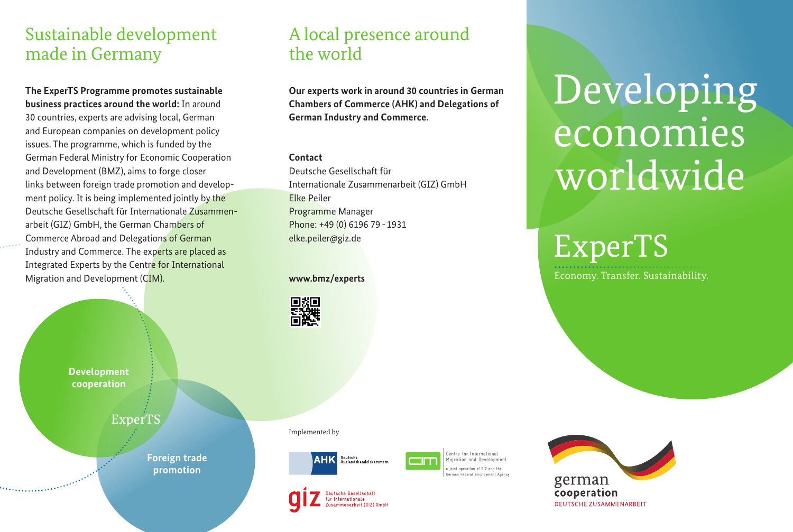## Sustainable development made in Germany

**The ExperTS Programme promotes sustainable business practices around the world:** In around 30 countries, experts are advising local, German and European companies on development policy issues. The programme, which is funded by the German Federal Ministry for Economic Cooperation and Development (BMZ), aims to forge closer links between foreign trade promotion and development policy. It is being implemented jointly by the Deutsche Gesellschaft für Internationale Zusammenarbeit (GIZ) GmbH, the German Chambers of Commerce Abroad and Delegations of German Industry and Commerce. The experts are placed as Integrated Experts by the Centre for International Migration and Development (CIM).

A local presence around the world

**Our experts work in around 30 countries in German Chambers of Commerce (AHK) and Delegations of German Industry and Commerce.** 

#### **Contact**

Deutsche Gesellschaft für Internationale Zusammenarbeit (GIZ) GmbH Elke Peiler Programme Manager Phone: +49 (0) 6196 79 - 1931 elke.peiler@giz.de

#### **www.bmz/experts**



**Development cooperation**

ExperTS

**Foreign trade promotion**



itsche Gesellschaf Internationale

menarbeit (GIZ) GmbH

Implemented by



.<br>Centre for International Migration and Development oint operation of GIZ and the erman Federal Employment Agency



# Developing economies worldwide

ExperTS

Economy. Transfer. Sustainability.